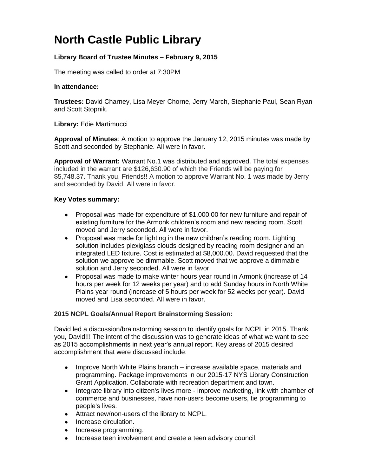# **North Castle Public Library**

## **Library Board of Trustee Minutes – February 9, 2015**

The meeting was called to order at 7:30PM

#### **In attendance:**

**Trustees:** David Charney, Lisa Meyer Chorne, Jerry March, Stephanie Paul, Sean Ryan and Scott Stopnik.

### **Library:** Edie Martimucci

**Approval of Minutes**: A motion to approve the January 12, 2015 minutes was made by Scott and seconded by Stephanie. All were in favor.

**Approval of Warrant:** Warrant No.1 was distributed and approved. The total expenses included in the warrant are \$126,630.90 of which the Friends will be paying for \$5,748.37. Thank you, Friends!! A motion to approve Warrant No. 1 was made by Jerry and seconded by David. All were in favor.

#### **Key Votes summary:**

- Proposal was made for expenditure of \$1,000.00 for new furniture and repair of existing furniture for the Armonk children's room and new reading room. Scott moved and Jerry seconded. All were in favor.
- Proposal was made for lighting in the new children's reading room. Lighting solution includes plexiglass clouds designed by reading room designer and an integrated LED fixture. Cost is estimated at \$8,000.00. David requested that the solution we approve be dimmable. Scott moved that we approve a dimmable solution and Jerry seconded. All were in favor.
- Proposal was made to make winter hours year round in Armonk (increase of 14 hours per week for 12 weeks per year) and to add Sunday hours in North White Plains year round (increase of 5 hours per week for 52 weeks per year). David moved and Lisa seconded. All were in favor.

### **2015 NCPL Goals/Annual Report Brainstorming Session:**

David led a discussion/brainstorming session to identify goals for NCPL in 2015. Thank you, David!!! The intent of the discussion was to generate ideas of what we want to see as 2015 accomplishments in next year's annual report. Key areas of 2015 desired accomplishment that were discussed include:

- Improve North White Plains branch increase available space, materials and  $\bullet$ programming. Package improvements in our 2015-17 NYS Library Construction Grant Application. Collaborate with recreation department and town.
- Integrate library into citizen's lives more improve marketing, link with chamber of commerce and businesses, have non-users become users, tie programming to people's lives.
- Attract new/non-users of the library to NCPL.
- Increase circulation.
- Increase programming.
- Increase teen involvement and create a teen advisory council.